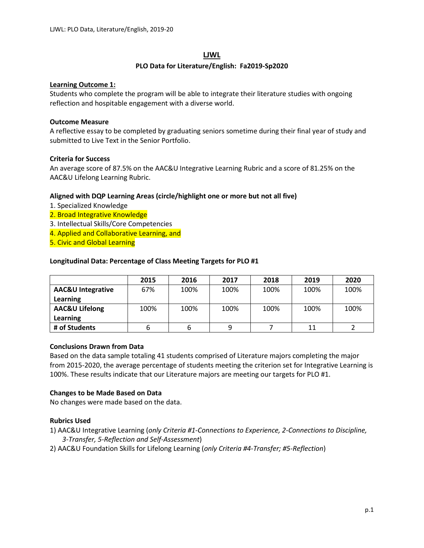# **LJWL**

# **PLO Data for Literature/English: Fa2019-Sp2020**

## **Learning Outcome 1:**

Students who complete the program will be able to integrate their literature studies with ongoing reflection and hospitable engagement with a diverse world.

# **Outcome Measure**

A reflective essay to be completed by graduating seniors sometime during their final year of study and submitted to Live Text in the Senior Portfolio.

# **Criteria for Success**

An average score of 87.5% on the AAC&U Integrative Learning Rubric and a score of 81.25% on the AAC&U Lifelong Learning Rubric.

# **Aligned with DQP Learning Areas (circle/highlight one or more but not all five)**

- 1. Specialized Knowledge
- 2. Broad Integrative Knowledge
- 3. Intellectual Skills/Core Competencies
- 4. Applied and Collaborative Learning, and
- 5. Civic and Global Learning

# **Longitudinal Data: Percentage of Class Meeting Targets for PLO #1**

|                              | 2015 | 2016 | 2017 | 2018 | 2019 | 2020 |
|------------------------------|------|------|------|------|------|------|
| <b>AAC&amp;U Integrative</b> | 67%  | 100% | 100% | 100% | 100% | 100% |
| Learning                     |      |      |      |      |      |      |
| <b>AAC&amp;U Lifelong</b>    | 100% | 100% | 100% | 100% | 100% | 100% |
| Learning                     |      |      |      |      |      |      |
| # of Students                |      |      | 9    |      | 11   |      |

## **Conclusions Drawn from Data**

Based on the data sample totaling 41 students comprised of Literature majors completing the major from 2015-2020, the average percentage of students meeting the criterion set for Integrative Learning is 100%. These results indicate that our Literature majors are meeting our targets for PLO #1.

# **Changes to be Made Based on Data**

No changes were made based on the data.

# **Rubrics Used**

- 1) AAC&U Integrative Learning (*only Criteria #1-Connections to Experience, 2-Connections to Discipline, 3-Transfer, 5-Reflection and Self-Assessment*)
- 2) AAC&U Foundation Skills for Lifelong Learning (*only Criteria #4-Transfer; #5-Reflection*)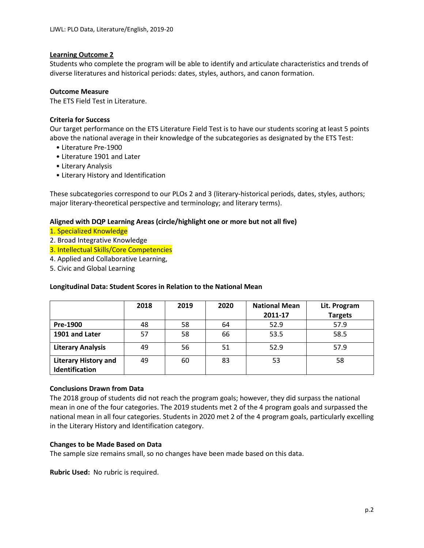## **Learning Outcome 2**

Students who complete the program will be able to identify and articulate characteristics and trends of diverse literatures and historical periods: dates, styles, authors, and canon formation.

#### **Outcome Measure**

The ETS Field Test in Literature.

## **Criteria for Success**

Our target performance on the ETS Literature Field Test is to have our students scoring at least 5 points above the national average in their knowledge of the subcategories as designated by the ETS Test:

- Literature Pre-1900
- Literature 1901 and Later
- Literary Analysis
- Literary History and Identification

These subcategories correspond to our PLOs 2 and 3 (literary-historical periods, dates, styles, authors; major literary-theoretical perspective and terminology; and literary terms).

## **Aligned with DQP Learning Areas (circle/highlight one or more but not all five)**

#### 1. Specialized Knowledge

- 2. Broad Integrative Knowledge
- 3. Intellectual Skills/Core Competencies
- 4. Applied and Collaborative Learning,
- 5. Civic and Global Learning

#### **Longitudinal Data: Student Scores in Relation to the National Mean**

|                                               | 2018 | 2019 | 2020 | <b>National Mean</b><br>2011-17 | Lit. Program<br><b>Targets</b> |
|-----------------------------------------------|------|------|------|---------------------------------|--------------------------------|
| Pre-1900                                      | 48   | 58   | 64   | 52.9                            | 57.9                           |
| 1901 and Later                                | 57   | 58   | 66   | 53.5                            | 58.5                           |
| <b>Literary Analysis</b>                      | 49   | 56   | 51   | 52.9                            | 57.9                           |
| <b>Literary History and</b><br>Identification | 49   | 60   | 83   | 53                              | 58                             |

#### **Conclusions Drawn from Data**

The 2018 group of students did not reach the program goals; however, they did surpass the national mean in one of the four categories. The 2019 students met 2 of the 4 program goals and surpassed the national mean in all four categories. Students in 2020 met 2 of the 4 program goals, particularly excelling in the Literary History and Identification category.

#### **Changes to be Made Based on Data**

The sample size remains small, so no changes have been made based on this data.

**Rubric Used:** No rubric is required.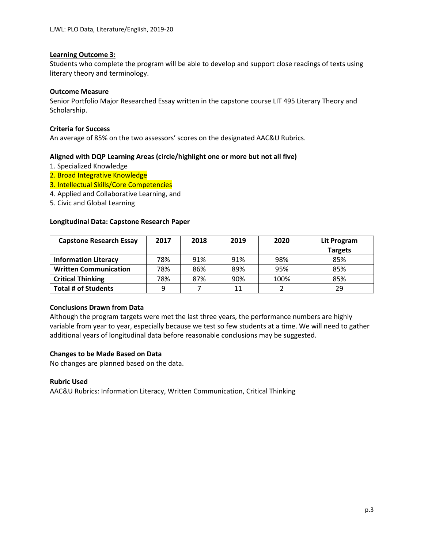## **Learning Outcome 3:**

Students who complete the program will be able to develop and support close readings of texts using literary theory and terminology.

#### **Outcome Measure**

Senior Portfolio Major Researched Essay written in the capstone course LIT 495 Literary Theory and Scholarship.

#### **Criteria for Success**

An average of 85% on the two assessors' scores on the designated AAC&U Rubrics.

## **Aligned with DQP Learning Areas (circle/highlight one or more but not all five)**

- 1. Specialized Knowledge
- 2. Broad Integrative Knowledge
- 3. Intellectual Skills/Core Competencies
- 4. Applied and Collaborative Learning, and
- 5. Civic and Global Learning

## **Longitudinal Data: Capstone Research Paper**

| <b>Capstone Research Essay</b> | 2017 | 2018 | 2019 | 2020 | Lit Program    |
|--------------------------------|------|------|------|------|----------------|
|                                |      |      |      |      | <b>Targets</b> |
| <b>Information Literacy</b>    | 78%  | 91%  | 91%  | 98%  | 85%            |
| <b>Written Communication</b>   | 78%  | 86%  | 89%  | 95%  | 85%            |
| <b>Critical Thinking</b>       | 78%  | 87%  | 90%  | 100% | 85%            |
| <b>Total # of Students</b>     | q    |      | 11   |      | 29             |

#### **Conclusions Drawn from Data**

Although the program targets were met the last three years, the performance numbers are highly variable from year to year, especially because we test so few students at a time. We will need to gather additional years of longitudinal data before reasonable conclusions may be suggested.

#### **Changes to be Made Based on Data**

No changes are planned based on the data.

#### **Rubric Used**

AAC&U Rubrics: Information Literacy, Written Communication, Critical Thinking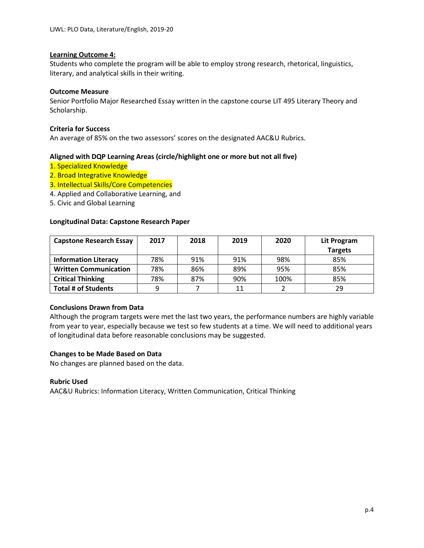## **Learning Outcome 4:**

Students who complete the program will be able to employ strong research, rhetorical, linguistics, literary, and analytical skills in their writing.

#### **Outcome Measure**

Senior Portfolio Major Researched Essay written in the capstone course LIT 495 Literary Theory and Scholarship.

## **Criteria for Success**

An average of 85% on the two assessors' scores on the designated AAC&U Rubrics.

## **Aligned with DQP Learning Areas (circle/highlight one or more but not all five)**

- 1. Specialized Knowledge
- 2. Broad Integrative Knowledge
- 3. Intellectual Skills/Core Competencies
- 4. Applied and Collaborative Learning, and
- 5. Civic and Global Learning

## **Longitudinal Data: Capstone Research Paper**

| <b>Capstone Research Essay</b> | 2017 | 2018 | 2019 | 2020 | Lit Program    |
|--------------------------------|------|------|------|------|----------------|
|                                |      |      |      |      | <b>Targets</b> |
| <b>Information Literacy</b>    | 78%  | 91%  | 91%  | 98%  | 85%            |
| <b>Written Communication</b>   | 78%  | 86%  | 89%  | 95%  | 85%            |
| <b>Critical Thinking</b>       | 78%  | 87%  | 90%  | 100% | 85%            |
| <b>Total # of Students</b>     | 9    |      | 11   |      | 29             |

#### **Conclusions Drawn from Data**

Although the program targets were met the last two years, the performance numbers are highly variable from year to year, especially because we test so few students at a time. We will need to additional years of longitudinal data before reasonable conclusions may be suggested.

#### **Changes to be Made Based on Data**

No changes are planned based on the data.

#### **Rubric Used**

AAC&U Rubrics: Information Literacy, Written Communication, Critical Thinking